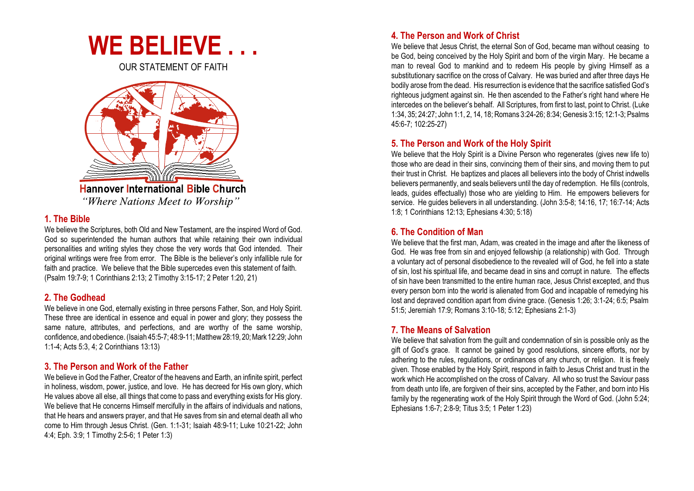

OUR STATEMENT OF FAITH



**Hannover International Bible Church** "Where Nations Meet to Worship"

#### **1. The Bible**

We believe the Scriptures, both Old and New Testament, are the inspired Word of God. God so superintended the human authors that while retaining their own individual personalities and writing styles they chose the very words that God intended. Their original writings were free from error. The Bible is the believer's only infallible rule for faith and practice. We believe that the Bible supercedes even this statement of faith. (Psalm 19:7-9; 1 Corinthians 2:13; 2 Timothy 3:15-17; 2 Peter 1:20, 21)

# **2. The Godhead**

We believe in one God, eternally existing in three persons Father, Son, and Holy Spirit. These three are identical in essence and equal in power and glory; they possess the same nature, attributes, and perfections, and are worthy of the same worship, confidence, and obedience. (Isaiah 45:5-7; 48:9-11; Matthew 28:19, 20;Mark 12:29; John 1:1-4; Acts 5:3, 4; 2 Corinthians 13:13)

# **3. The Person and Work of the Father**

We believe in God the Father, Creator of the heavens and Earth, an infinite spirit, perfect in holiness, wisdom, power, justice, and love. He has decreed for His own glory, which He values above all else, all things that come to pass and everything exists for His glory. We believe that He concerns Himself mercifully in the affairs of individuals and nations, that He hears and answers prayer, and that He saves from sin and eternal death all who come to Him through Jesus Christ. (Gen. 1:1-31; Isaiah 48:9-11; Luke 10:21-22; John 4:4; Eph. 3:9; 1 Timothy 2:5-6; 1 Peter 1:3)

# **4. The Person and Work of Christ**

We believe that Jesus Christ, the eternal Son of God, became man without ceasing to be God, being conceived by the Holy Spirit and born of the virgin Mary. He became a man to reveal God to mankind and to redeem His people by giving Himself as a substitutionary sacrifice on the cross of Calvary. He was buried and after three days He bodily arose from the dead. His resurrection is evidence that the sacrifice satisfied God's righteous judgment against sin. He then ascended to the Father's right hand where He intercedes on the believer's behalf. All Scriptures, from first to last, point to Christ. (Luke 1:34, 35; 24:27; John 1:1, 2, 14, 18; Romans 3:24-26; 8:34; Genesis 3:15; 12:1-3; Psalms 45:6-7; 102:25-27)

# **5. The Person and Work of the Holy Spirit**

We believe that the Holy Spirit is a Divine Person who regenerates (gives new life to) those who are dead in their sins, convincing them of their sins, and moving them to put their trust in Christ. He baptizes and places all believers into the body of Christ indwells believers permanently, and seals believers until the day of redemption. He fills (controls, leads, guides effectually) those who are yielding to Him. He empowers believers for service. He guides believers in all understanding. (John 3:5-8; 14:16, 17; 16:7-14; Acts 1:8; 1 Corinthians 12:13; Ephesians 4:30; 5:18)

# **6. The Condition of Man**

We believe that the first man, Adam, was created in the image and after the likeness of God. He was free from sin and enjoyed fellowship (a relationship) with God. Through a voluntary act of personal disobedience to the revealed will of God, he fell into a state of sin, lost his spiritual life, and became dead in sins and corrupt in nature. The effects of sin have been transmitted to the entire human race, Jesus Christ excepted, and thus every person born into the world is alienated from God and incapable of remedying his lost and depraved condition apart from divine grace. (Genesis 1:26; 3:1-24; 6:5; Psalm 51:5; Jeremiah 17:9; Romans 3:10-18; 5:12; Ephesians 2:1-3)

### **7. The Means of Salvation**

We believe that salvation from the quilt and condemnation of sin is possible only as the gift of God's grace. It cannot be gained by good resolutions, sincere efforts, nor by adhering to the rules, regulations, or ordinances of any church, or religion. It is freely given. Those enabled by the Holy Spirit, respond in faith to Jesus Christ and trust in the work which He accomplished on the cross of Calvary. All who so trust the Saviour pass from death unto life, are forgiven of their sins, accepted by the Father, and born into His family by the regenerating work of the Holy Spirit through the Word of God. (John 5:24; Ephesians 1:6-7; 2:8-9; Titus 3:5; 1 Peter 1:23)